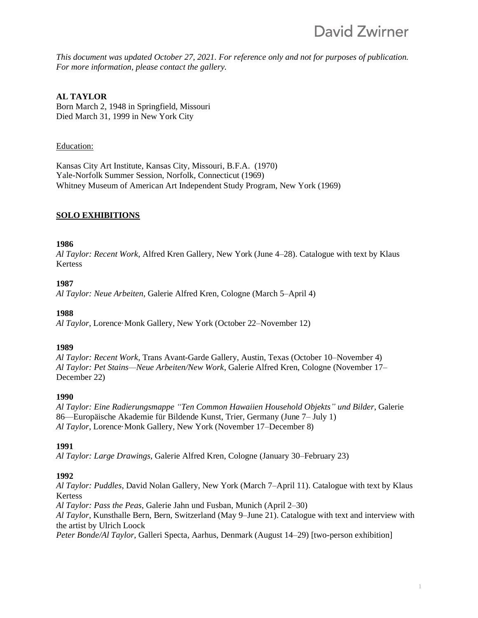# David Zwirner

*This document was updated October 27, 2021. For reference only and not for purposes of publication. For more information, please contact the gallery.*

### **AL TAYLOR**

Born March 2, 1948 in Springfield, Missouri Died March 31, 1999 in New York City

#### Education:

Kansas City Art Institute, Kansas City, Missouri, B.F.A. (1970) Yale-Norfolk Summer Session, Norfolk, Connecticut (1969) Whitney Museum of American Art Independent Study Program, New York (1969)

### **SOLO EXHIBITIONS**

#### **1986**

*Al Taylor: Recent Work*, Alfred Kren Gallery, New York (June 4–28). Catalogue with text by Klaus Kertess

#### **1987**

*Al Taylor: Neue Arbeiten*, Galerie Alfred Kren, Cologne (March 5–April 4)

#### **1988**

*Al Taylor*, Lorence·Monk Gallery, New York (October 22–November 12)

### **1989**

*Al Taylor: Recent Work*, Trans Avant-Garde Gallery, Austin, Texas (October 10–November 4) *Al Taylor: Pet Stains—Neue Arbeiten/New Work*, Galerie Alfred Kren, Cologne (November 17– December 22)

#### **1990**

*Al Taylor: Eine Radierungsmappe "Ten Common Hawaiien Household Objekts" und Bilder*, Galerie 86—Europäische Akademie für Bildende Kunst, Trier, Germany (June 7– July 1) *Al Taylor*, Lorence·Monk Gallery, New York (November 17–December 8)

### **1991**

*Al Taylor: Large Drawings*, Galerie Alfred Kren, Cologne (January 30–February 23)

### **1992**

*Al Taylor: Puddles*, David Nolan Gallery, New York (March 7–April 11). Catalogue with text by Klaus Kertess

*Al Taylor: Pass the Peas*, Galerie Jahn und Fusban, Munich (April 2–30)

*Al Taylor*, Kunsthalle Bern, Bern, Switzerland (May 9–June 21). Catalogue with text and interview with the artist by Ulrich Loock

*Peter Bonde/Al Taylor*, Galleri Specta, Aarhus, Denmark (August 14–29) [two-person exhibition]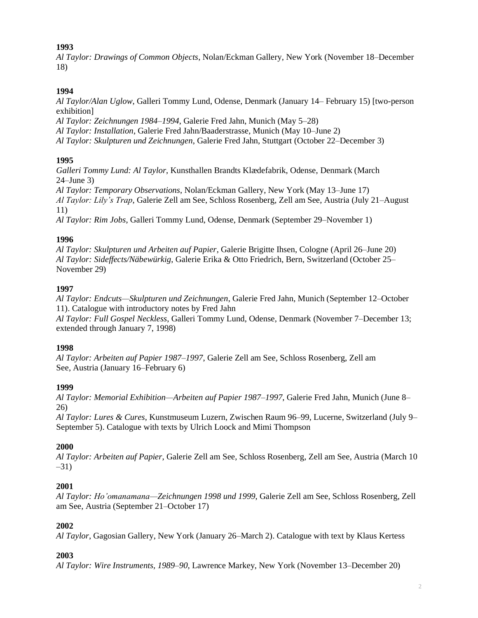*Al Taylor: Drawings of Common Objects*, Nolan/Eckman Gallery, New York (November 18–December 18)

#### **1994**

*Al Taylor/Alan Uglow*, Galleri Tommy Lund, Odense, Denmark (January 14– February 15) [two-person exhibition]

*Al Taylor: Zeichnungen 1984*–*1994*, Galerie Fred Jahn, Munich (May 5–28)

*Al Taylor: Installation*, Galerie Fred Jahn/Baaderstrasse, Munich (May 10–June 2)

*Al Taylor: Skulpturen und Zeichnungen*, Galerie Fred Jahn, Stuttgart (October 22–December 3)

#### **1995**

*Galleri Tommy Lund: Al Taylor*, Kunsthallen Brandts Klædefabrik, Odense, Denmark (March 24–June 3)

*Al Taylor: Temporary Observations*, Nolan/Eckman Gallery, New York (May 13–June 17) *Al Taylor: Lily's Trap*, Galerie Zell am See, Schloss Rosenberg, Zell am See, Austria (July 21–August 11)

*Al Taylor: Rim Jobs*, Galleri Tommy Lund, Odense, Denmark (September 29–November 1)

#### **1996**

*Al Taylor: Skulpturen und Arbeiten auf Papier*, Galerie Brigitte Ihsen, Cologne (April 26–June 20) *Al Taylor: Sideffects/Näbewürkig*, Galerie Erika & Otto Friedrich, Bern, Switzerland (October 25– November 29)

#### **1997**

*Al Taylor: Endcuts—Skulpturen und Zeichnungen*, Galerie Fred Jahn, Munich (September 12–October 11). Catalogue with introductory notes by Fred Jahn

*Al Taylor: Full Gospel Neckless*, Galleri Tommy Lund, Odense, Denmark (November 7–December 13; extended through January 7, 1998)

### **1998**

*Al Taylor: Arbeiten auf Papier 1987*–*1997*, Galerie Zell am See, Schloss Rosenberg, Zell am See, Austria (January 16–February 6)

### **1999**

*Al Taylor: Memorial Exhibition—Arbeiten auf Papier 1987*–*1997*, Galerie Fred Jahn, Munich (June 8– 26)

*Al Taylor: Lures & Cures*, Kunstmuseum Luzern, Zwischen Raum 96–99, Lucerne, Switzerland (July 9– September 5). Catalogue with texts by Ulrich Loock and Mimi Thompson

#### **2000**

*Al Taylor: Arbeiten auf Papier*, Galerie Zell am See, Schloss Rosenberg, Zell am See, Austria (March 10 –31)

#### **2001**

*Al Taylor: Ho'omanamana—Zeichnungen 1998 und 1999*, Galerie Zell am See, Schloss Rosenberg, Zell am See, Austria (September 21–October 17)

#### **2002**

*Al Taylor*, Gagosian Gallery, New York (January 26–March 2). Catalogue with text by Klaus Kertess

#### **2003**

*Al Taylor: Wire Instruments, 1989–90,* Lawrence Markey, New York (November 13–December 20)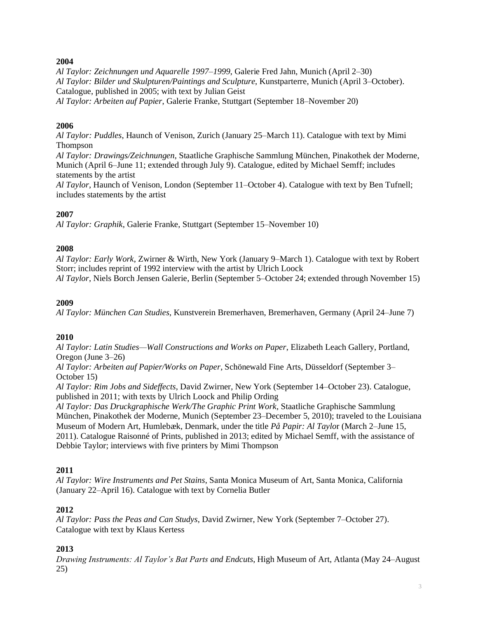*Al Taylor: Zeichnungen und Aquarelle 1997–1999*, Galerie Fred Jahn, Munich (April 2–30) *Al Taylor: Bilder und Skulpturen/Paintings and Sculpture*, Kunstparterre, Munich (April 3–October). Catalogue, published in 2005; with text by Julian Geist *Al Taylor: Arbeiten auf Papier*, Galerie Franke, Stuttgart (September 18–November 20)

#### **2006**

*Al Taylor: Puddles*, Haunch of Venison, Zurich (January 25–March 11). Catalogue with text by Mimi Thompson

*Al Taylor: Drawings/Zeichnungen*, Staatliche Graphische Sammlung München, Pinakothek der Moderne, Munich (April 6–June 11; extended through July 9). Catalogue, edited by Michael Semff; includes statements by the artist

*Al Taylor*, Haunch of Venison, London (September 11–October 4). Catalogue with text by Ben Tufnell; includes statements by the artist

### **2007**

*Al Taylor: Graphik*, Galerie Franke, Stuttgart (September 15–November 10)

#### **2008**

*Al Taylor: Early Work*, Zwirner & Wirth, New York (January 9–March 1). Catalogue with text by Robert Storr; includes reprint of 1992 interview with the artist by Ulrich Loock

*Al Taylor*, Niels Borch Jensen Galerie, Berlin (September 5–October 24; extended through November 15)

#### **2009**

*Al Taylor: München Can Studies*, Kunstverein Bremerhaven, Bremerhaven, Germany (April 24–June 7)

### **2010**

*Al Taylor: Latin Studies—Wall Constructions and Works on Paper*, Elizabeth Leach Gallery, Portland, Oregon (June 3–26)

*Al Taylor: Arbeiten auf Papier/Works on Paper*, Schönewald Fine Arts, Düsseldorf (September 3– October 15)

*Al Taylor: Rim Jobs and Sideffects*, David Zwirner, New York (September 14–October 23). Catalogue, published in 2011; with texts by Ulrich Loock and Philip Ording

*Al Taylor: Das Druckgraphische Werk/The Graphic Print Work*, Staatliche Graphische Sammlung München, Pinakothek der Moderne, Munich (September 23–December 5, 2010); traveled to the Louisiana Museum of Modern Art, Humlebæk, Denmark, under the title *På Papir: Al Taylo*r (March 2–June 15, 2011). Catalogue Raisonné of Prints, published in 2013; edited by Michael Semff, with the assistance of Debbie Taylor; interviews with five printers by Mimi Thompson

### **2011**

*Al Taylor: Wire Instruments and Pet Stains*, Santa Monica Museum of Art, Santa Monica, California (January 22–April 16). Catalogue with text by Cornelia Butler

### **2012**

*Al Taylor: Pass the Peas and Can Studys*, David Zwirner, New York (September 7–October 27). Catalogue with text by Klaus Kertess

### **2013**

*Drawing Instruments: Al Taylor's Bat Parts and Endcuts*, High Museum of Art, Atlanta (May 24–August 25)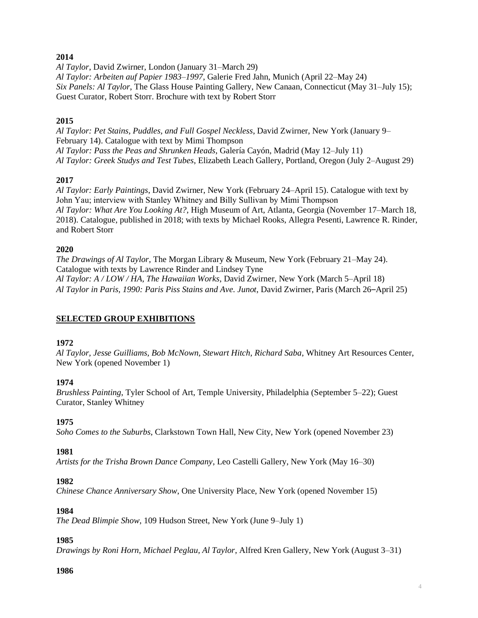*Al Taylor*, David Zwirner, London (January 31–March 29) *Al Taylor: Arbeiten auf Papier 1983–1997*, Galerie Fred Jahn, Munich (April 22–May 24) *Six Panels: Al Taylor*, The Glass House Painting Gallery, New Canaan, Connecticut (May 31–July 15); Guest Curator, Robert Storr. Brochure with text by Robert Storr

#### **2015**

*Al Taylor: Pet Stains, Puddles, and Full Gospel Neckless*, David Zwirner, New York (January 9– February 14). Catalogue with text by Mimi Thompson *Al Taylor: Pass the Peas and Shrunken Heads*, Galería Cayón, Madrid (May 12–July 11) *Al Taylor: Greek Studys and Test Tubes*, Elizabeth Leach Gallery, Portland, Oregon (July 2–August 29)

#### **2017**

*Al Taylor: Early Paintings*, David Zwirner, New York (February 24–April 15). Catalogue with text by John Yau; interview with Stanley Whitney and Billy Sullivan by Mimi Thompson *Al Taylor: What Are You Looking At?*, High Museum of Art, Atlanta, Georgia (November 17–March 18, 2018). Catalogue, published in 2018; with texts by Michael Rooks, Allegra Pesenti, Lawrence R. Rinder, and Robert Storr

#### **2020**

*The Drawings of Al Taylor*, The Morgan Library & Museum, New York (February 21–May 24). Catalogue with texts by Lawrence Rinder and Lindsey Tyne *Al Taylor: A / LOW / HA, The Hawaiian Works*, David Zwirner, New York (March 5–April 18) *Al Taylor in Paris, 1990: Paris Piss Stains and Ave. Junot*, David Zwirner, Paris (March 26–April 25)

### **SELECTED GROUP EXHIBITIONS**

#### **1972**

*Al Taylor, Jesse Guilliams, Bob McNown, Stewart Hitch, Richard Saba*, Whitney Art Resources Center, New York (opened November 1)

#### **1974**

*Brushless Painting*, Tyler School of Art, Temple University, Philadelphia (September 5–22); Guest Curator, Stanley Whitney

#### **1975**

*Soho Comes to the Suburbs*, Clarkstown Town Hall, New City, New York (opened November 23)

#### **1981**

*Artists for the Trisha Brown Dance Company*, Leo Castelli Gallery, New York (May 16–30)

#### **1982**

*Chinese Chance Anniversary Show*, One University Place, New York (opened November 15)

#### **1984**

*The Dead Blimpie Show*, 109 Hudson Street, New York (June 9–July 1)

# **1985**

*Drawings by Roni Horn, Michael Peglau, Al Taylor*, Alfred Kren Gallery, New York (August 3–31)

#### **1986**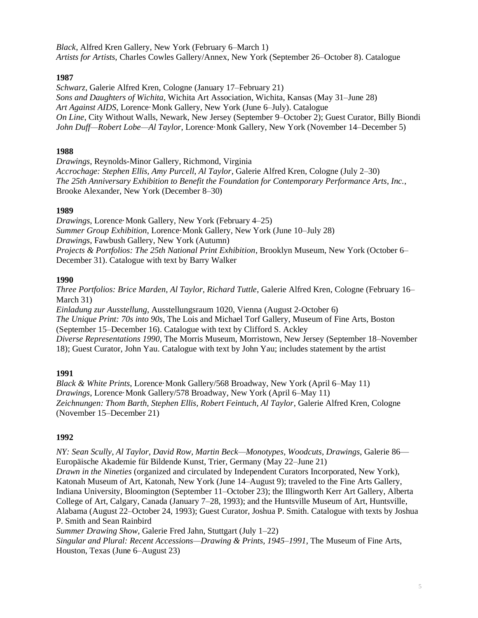*Black*, Alfred Kren Gallery, New York (February 6–March 1) *Artists for Artists*, Charles Cowles Gallery/Annex, New York (September 26–October 8). Catalogue

### **1987**

*Schwarz*, Galerie Alfred Kren, Cologne (January 17–February 21) *Sons and Daughters of Wichita*, Wichita Art Association, Wichita, Kansas (May 31–June 28) *Art Against AIDS*, Lorence·Monk Gallery, New York (June 6–July). Catalogue *On Line*, City Without Walls, Newark, New Jersey (September 9–October 2); Guest Curator, Billy Biondi *John Duff—Robert Lobe—Al Taylor*, Lorence·Monk Gallery, New York (November 14–December 5)

#### **1988**

*Drawings*, Reynolds-Minor Gallery, Richmond, Virginia *Accrochage: Stephen Ellis, Amy Purcell, Al Taylor*, Galerie Alfred Kren, Cologne (July 2–30) *The 25th Anniversary Exhibition to Benefit the Foundation for Contemporary Performance Arts, Inc.*, Brooke Alexander, New York (December 8–30)

### **1989**

*Drawings*, Lorence·Monk Gallery, New York (February 4–25) *Summer Group Exhibition*, Lorence·Monk Gallery, New York (June 10–July 28) *Drawings*, Fawbush Gallery, New York (Autumn) *Projects & Portfolios: The 25th National Print Exhibition*, Brooklyn Museum, New York (October 6– December 31). Catalogue with text by Barry Walker

### **1990**

*Three Portfolios: Brice Marden, Al Taylor, Richard Tuttle*, Galerie Alfred Kren, Cologne (February 16– March 31)

*Einladung zur Ausstellung*, Ausstellungsraum 1020, Vienna (August 2-October 6) *The Unique Print: 70s into 90s*, The Lois and Michael Torf Gallery, Museum of Fine Arts, Boston (September 15–December 16). Catalogue with text by Clifford S. Ackley *Diverse Representations 1990*, The Morris Museum, Morristown, New Jersey (September 18–November 18); Guest Curator, John Yau. Catalogue with text by John Yau; includes statement by the artist

# **1991**

*Black & White Prints*, Lorence·Monk Gallery/568 Broadway, New York (April 6–May 11) *Drawings*, Lorence·Monk Gallery/578 Broadway, New York (April 6–May 11) *Zeichnungen: Thom Barth, Stephen Ellis, Robert Feintuch, Al Taylor*, Galerie Alfred Kren, Cologne (November 15–December 21)

# **1992**

*NY: Sean Scully, Al Taylor, David Row, Martin Beck—Monotypes, Woodcuts, Drawings*, Galerie 86— Europäische Akademie für Bildende Kunst, Trier, Germany (May 22–June 21) *Drawn in the Nineties* (organized and circulated by Independent Curators Incorporated, New York), Katonah Museum of Art, Katonah, New York (June 14–August 9); traveled to the Fine Arts Gallery, Indiana University, Bloomington (September 11–October 23); the Illingworth Kerr Art Gallery, Alberta College of Art, Calgary, Canada (January 7–28, 1993); and the Huntsville Museum of Art, Huntsville, Alabama (August 22–October 24, 1993); Guest Curator, Joshua P. Smith. Catalogue with texts by Joshua P. Smith and Sean Rainbird *Summer Drawing Show*, Galerie Fred Jahn, Stuttgart (July 1–22)

*Singular and Plural: Recent Accessions—Drawing & Prints, 1945–1991*, The Museum of Fine Arts, Houston, Texas (June 6–August 23)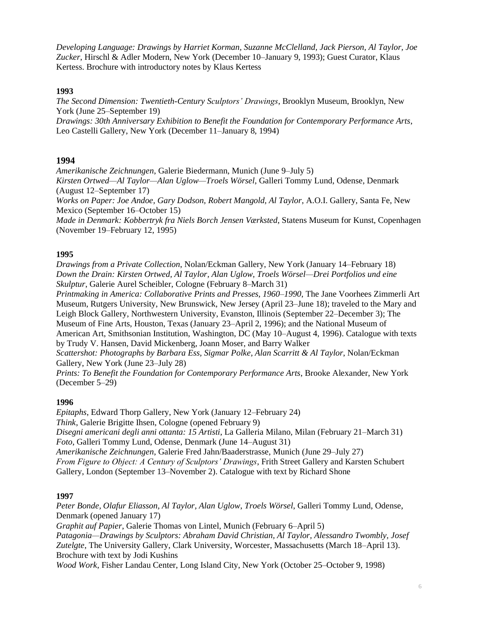*Developing Language: Drawings by Harriet Korman, Suzanne McClelland, Jack Pierson, Al Taylor, Joe Zucker*, Hirschl & Adler Modern, New York (December 10–January 9, 1993); Guest Curator, Klaus Kertess. Brochure with introductory notes by Klaus Kertess

#### **1993**

*The Second Dimension: Twentieth-Century Sculptors' Drawings*, Brooklyn Museum, Brooklyn, New York (June 25–September 19)

*Drawings: 30th Anniversary Exhibition to Benefit the Foundation for Contemporary Performance Arts*, Leo Castelli Gallery, New York (December 11–January 8, 1994)

#### **1994**

*Amerikanische Zeichnungen*, Galerie Biedermann, Munich (June 9–July 5)

*Kirsten Ortwed—Al Taylor—Alan Uglow—Troels Wörsel*, Galleri Tommy Lund, Odense, Denmark (August 12–September 17)

*Works on Paper: Joe Andoe, Gary Dodson, Robert Mangold, Al Taylor*, A.O.I. Gallery, Santa Fe, New Mexico (September 16–October 15)

*Made in Denmark: Kobbertryk fra Niels Borch Jensen Værksted*, Statens Museum for Kunst, Copenhagen (November 19–February 12, 1995)

#### **1995**

*Drawings from a Private Collection*, Nolan/Eckman Gallery, New York (January 14–February 18) *Down the Drain: Kirsten Ortwed, Al Taylor, Alan Uglow, Troels Wörsel—Drei Portfolios und eine Skulptur*, Galerie Aurel Scheibler, Cologne (February 8–March 31)

*Printmaking in America: Collaborative Prints and Presses, 1960–1990*, The Jane Voorhees Zimmerli Art Museum, Rutgers University, New Brunswick, New Jersey (April 23–June 18); traveled to the Mary and Leigh Block Gallery, Northwestern University, Evanston, Illinois (September 22–December 3); The Museum of Fine Arts, Houston, Texas (January 23–April 2, 1996); and the National Museum of American Art, Smithsonian Institution, Washington, DC (May 10–August 4, 1996). Catalogue with texts by Trudy V. Hansen, David Mickenberg, Joann Moser, and Barry Walker

*Scattershot: Photographs by Barbara Ess, Sigmar Polke, Alan Scarritt & Al Taylor*, Nolan/Eckman Gallery, New York (June 23–July 28)

*Prints: To Benefit the Foundation for Contemporary Performance Arts*, Brooke Alexander, New York (December 5–29)

### **1996**

*Epitaphs*, Edward Thorp Gallery, New York (January 12–February 24) *Think*, Galerie Brigitte Ihsen, Cologne (opened February 9) *Disegni americani degli anni ottanta: 15 Artisti*, La Galleria Milano, Milan (February 21–March 31) *Foto*, Galleri Tommy Lund, Odense, Denmark (June 14–August 31) *Amerikanische Zeichnungen*, Galerie Fred Jahn/Baaderstrasse, Munich (June 29–July 27) *From Figure to Object: A Century of Sculptors' Drawings*, Frith Street Gallery and Karsten Schubert Gallery, London (September 13–November 2). Catalogue with text by Richard Shone

### **1997**

*Peter Bonde, Olafur Eliasson, Al Taylor, Alan Uglow*, *Troels Wörsel*, Galleri Tommy Lund, Odense, Denmark (opened January 17) *Graphit auf Papier*, Galerie Thomas von Lintel, Munich (February 6–April 5) *Patagonia—Drawings by Sculptors: Abraham David Christian, Al Taylor, Alessandro Twombly, Josef Zutelgte*, The University Gallery, Clark University, Worcester, Massachusetts (March 18–April 13). Brochure with text by Jodi Kushins

*Wood Work*, Fisher Landau Center, Long Island City, New York (October 25–October 9, 1998)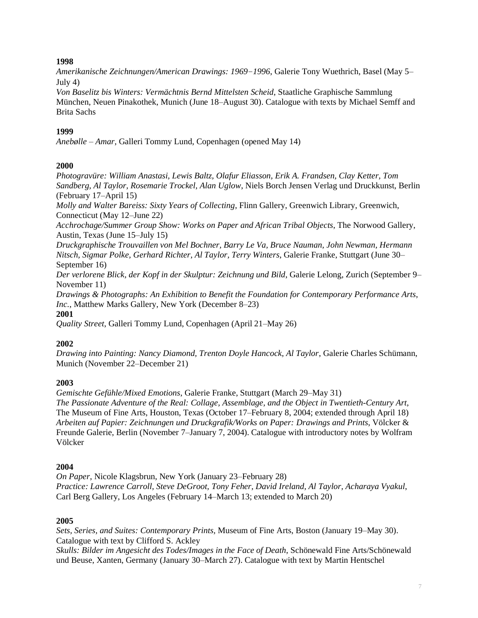*Amerikanische Zeichnungen/American Drawings: 1969*–*1996*, Galerie Tony Wuethrich, Basel (May 5– July 4)

*Von Baselitz bis Winters: Vermächtnis Bernd Mittelsten Scheid*, Staatliche Graphische Sammlung München, Neuen Pinakothek, Munich (June 18–August 30). Catalogue with texts by Michael Semff and Brita Sachs

#### **1999**

*Anebølle – Amar*, Galleri Tommy Lund, Copenhagen (opened May 14)

### **2000**

*Photogravüre: William Anastasi, Lewis Baltz, Olafur Eliasson, Erik A. Frandsen, Clay Ketter, Tom Sandberg, Al Taylor, Rosemarie Trockel, Alan Uglow*, Niels Borch Jensen Verlag und Druckkunst, Berlin (February 17–April 15)

*Molly and Walter Bareiss: Sixty Years of Collecting*, Flinn Gallery, Greenwich Library, Greenwich, Connecticut (May 12–June 22)

*Acchrochage/Summer Group Show: Works on Paper and African Tribal Objects*, The Norwood Gallery, Austin, Texas (June 15–July 15)

*Druckgraphische Trouvaillen von Mel Bochner, Barry Le Va, Bruce Nauman, John Newman, Hermann Nitsch, Sigmar Polke, Gerhard Richter, Al Taylor, Terry Winters*, Galerie Franke, Stuttgart (June 30– September 16)

*Der verlorene Blick, der Kopf in der Skulptur: Zeichnung und Bild*, Galerie Lelong, Zurich (September 9– November 11)

*Drawings & Photographs: An Exhibition to Benefit the Foundation for Contemporary Performance Arts*, *Inc.*, Matthew Marks Gallery, New York (December 8–23)

#### **2001**

*Quality Street*, Galleri Tommy Lund, Copenhagen (April 21–May 26)

### **2002**

*Drawing into Painting: Nancy Diamond, Trenton Doyle Hancock, Al Taylor*, Galerie Charles Schümann, Munich (November 22–December 21)

### **2003**

*Gemischte Gefühle/Mixed Emotions*, Galerie Franke, Stuttgart (March 29–May 31) *The Passionate Adventure of the Real: Collage, Assemblage, and the Object in Twentieth-Century Art*, The Museum of Fine Arts, Houston, Texas (October 17–February 8, 2004; extended through April 18) *Arbeiten auf Papier: Zeichnungen und Druckgrafik/Works on Paper: Drawings and Prints*, Völcker & Freunde Galerie, Berlin (November 7–January 7, 2004). Catalogue with introductory notes by Wolfram Völcker

### **2004**

*On Paper*, Nicole Klagsbrun, New York (January 23–February 28) *Practice: Lawrence Carroll, Steve DeGroot, Tony Feher, David Ireland, Al Taylor, Acharaya Vyakul*, Carl Berg Gallery, Los Angeles (February 14–March 13; extended to March 20)

### **2005**

*Sets, Series, and Suites: Contemporary Prints,* Museum of Fine Arts, Boston (January 19–May 30). Catalogue with text by Clifford S. Ackley

*Skulls: Bilder im Angesicht des Todes/Images in the Face of Death*, Schönewald Fine Arts/Schönewald und Beuse, Xanten, Germany (January 30–March 27). Catalogue with text by Martin Hentschel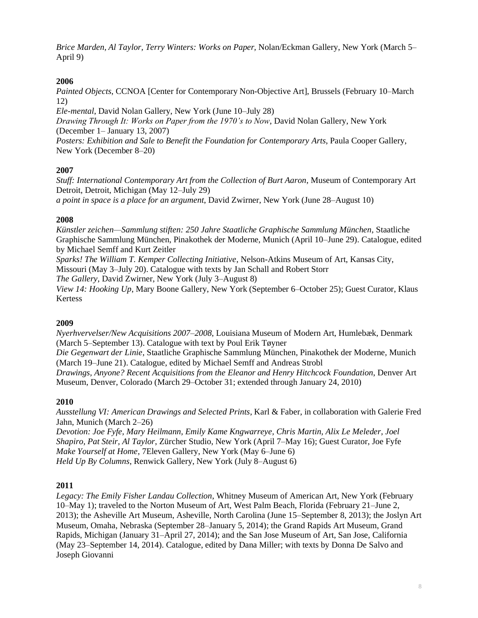*Brice Marden, Al Taylor, Terry Winters: Works on Paper,* Nolan/Eckman Gallery, New York (March 5– April 9)

### **2006**

*Painted Objects*, CCNOA [Center for Contemporary Non-Objective Art], Brussels (February 10–March 12)

*Ele-mental*, David Nolan Gallery, New York (June 10–July 28)

*Drawing Through It: Works on Paper from the 1970's to Now*, David Nolan Gallery, New York (December 1– January 13, 2007)

*Posters: Exhibition and Sale to Benefit the Foundation for Contemporary Arts*, Paula Cooper Gallery, New York (December 8–20)

### **2007**

*Stuff: International Contemporary Art from the Collection of Burt Aaron*, Museum of Contemporary Art Detroit, Detroit, Michigan (May 12–July 29) *a point in space is a place for an argument*, David Zwirner, New York (June 28–August 10)

### **2008**

*Künstler zeichen—Sammlung stiften: 250 Jahre Staatliche Graphische Sammlung München*, Staatliche Graphische Sammlung München, Pinakothek der Moderne, Munich (April 10–June 29). Catalogue, edited by Michael Semff and Kurt Zeitler

*Sparks! The William T. Kemper Collecting Initiative*, Nelson-Atkins Museum of Art, Kansas City, Missouri (May 3–July 20). Catalogue with texts by Jan Schall and Robert Storr *The Gallery*, David Zwirner, New York (July 3–August 8)

*View 14: Hooking Up*, Mary Boone Gallery, New York (September 6–October 25); Guest Curator, Klaus Kertess

# **2009**

*Nyerhvervelser/New Acquisitions 2007*–*2008*, Louisiana Museum of Modern Art, Humlebæk, Denmark (March 5–September 13). Catalogue with text by Poul Erik Tøyner *Die Gegenwart der Linie*, Staatliche Graphische Sammlung München, Pinakothek der Moderne, Munich (March 19–June 21). Catalogue, edited by Michael Semff and Andreas Strobl *Drawings, Anyone? Recent Acquisitions from the Eleanor and Henry Hitchcock Foundation*, Denver Art Museum, Denver, Colorado (March 29–October 31; extended through January 24, 2010)

### **2010**

*Ausstellung VI: American Drawings and Selected Prints*, Karl & Faber, in collaboration with Galerie Fred Jahn, Munich (March 2–26)

*Devotion: Joe Fyfe, Mary Heilmann, Emily Kame Kngwarreye, Chris Martin, Alix Le Meleder, Joel Shapiro, Pat Steir, Al Taylor*, Zürcher Studio, New York (April 7–May 16); Guest Curator, Joe Fyfe *Make Yourself at Home*, 7Eleven Gallery, New York (May 6–June 6) *Held Up By Columns*, Renwick Gallery, New York (July 8–August 6)

# **2011**

*Legacy: The Emily Fisher Landau Collection*, Whitney Museum of American Art, New York (February 10–May 1); traveled to the Norton Museum of Art, West Palm Beach, Florida (February 21–June 2, 2013); the Asheville Art Museum, Asheville, North Carolina (June 15–September 8, 2013); the Joslyn Art Museum, Omaha, Nebraska (September 28–January 5, 2014); the Grand Rapids Art Museum, Grand Rapids, Michigan (January 31–April 27, 2014); and the San Jose Museum of Art, San Jose, California (May 23–September 14, 2014). Catalogue, edited by Dana Miller; with texts by Donna De Salvo and Joseph Giovanni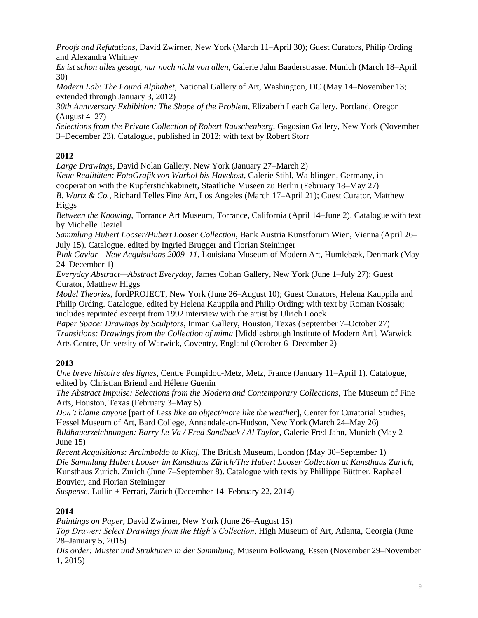*Proofs and Refutations*, David Zwirner, New York (March 11–April 30); Guest Curators, Philip Ording and Alexandra Whitney

*Es ist schon alles gesagt, nur noch nicht von allen*, Galerie Jahn Baaderstrasse, Munich (March 18–April 30)

*Modern Lab: The Found Alphabet*, National Gallery of Art, Washington, DC (May 14–November 13; extended through January 3, 2012)

*30th Anniversary Exhibition: The Shape of the Problem*, Elizabeth Leach Gallery, Portland, Oregon (August 4–27)

*Selections from the Private Collection of Robert Rauschenberg*, Gagosian Gallery, New York (November 3–December 23). Catalogue, published in 2012; with text by Robert Storr

### **2012**

*Large Drawings*, David Nolan Gallery, New York (January 27–March 2)

*Neue Realitäten: FotoGrafik von Warhol bis Havekost*, Galerie Stihl, Waiblingen, Germany, in

cooperation with the Kupferstichkabinett, Staatliche Museen zu Berlin (February 18–May 27)

*B. Wurtz & Co.*, Richard Telles Fine Art, Los Angeles (March 17–April 21); Guest Curator, Matthew Higgs

*Between the Knowing*, Torrance Art Museum, Torrance, California (April 14–June 2). Catalogue with text by Michelle Deziel

*Sammlung Hubert Looser/Hubert Looser Collection*, Bank Austria Kunstforum Wien, Vienna (April 26– July 15). Catalogue, edited by Ingried Brugger and Florian Steininger

*Pink Caviar—New Acquisitions 2009*–*11*, Louisiana Museum of Modern Art, Humlebæk, Denmark (May 24–December 1)

*Everyday Abstract—Abstract Everyday*, James Cohan Gallery, New York (June 1–July 27); Guest Curator, Matthew Higgs

*Model Theories*, fordPROJECT, New York (June 26–August 10); Guest Curators, Helena Kauppila and Philip Ording. Catalogue, edited by Helena Kauppila and Philip Ording; with text by Roman Kossak; includes reprinted excerpt from 1992 interview with the artist by Ulrich Loock

*Paper Space: Drawings by Sculptors*, Inman Gallery, Houston, Texas (September 7–October 27) *Transitions: Drawings from the Collection of mima* [Middlesbrough Institute of Modern Art], Warwick Arts Centre, University of Warwick, Coventry, England (October 6–December 2)

# **2013**

*Une breve histoire des lignes*, Centre Pompidou-Metz, Metz, France (January 11–April 1). Catalogue, edited by Christian Briend and Hélene Guenin

*The Abstract Impulse: Selections from the Modern and Contemporary Collections*, The Museum of Fine Arts, Houston, Texas (February 3–May 5)

*Don't blame anyone* [part of *Less like an object/more like the weather*], Center for Curatorial Studies, Hessel Museum of Art, Bard College, Annandale-on-Hudson, New York (March 24–May 26)

*Bildhauerzeichnungen: Barry Le Va / Fred Sandback / Al Taylor*, Galerie Fred Jahn, Munich (May 2– June 15)

*Recent Acquisitions: Arcimboldo to Kitaj*, The British Museum, London (May 30–September 1) *Die Sammlung Hubert Looser im Kunsthaus Zürich/The Hubert Looser Collection at Kunsthaus Zurich*, Kunsthaus Zurich, Zurich (June 7–September 8). Catalogue with texts by Phillippe Büttner, Raphael Bouvier, and Florian Steininger

*Suspense*, Lullin + Ferrari, Zurich (December 14–February 22, 2014)

# **2014**

*Paintings on Paper*, David Zwirner, New York (June 26–August 15)

*Top Drawer: Select Drawings from the High's Collection*, High Museum of Art, Atlanta, Georgia (June 28–January 5, 2015)

*Dis order: Muster und Strukturen in der Sammlung*, Museum Folkwang, Essen (November 29–November 1, 2015)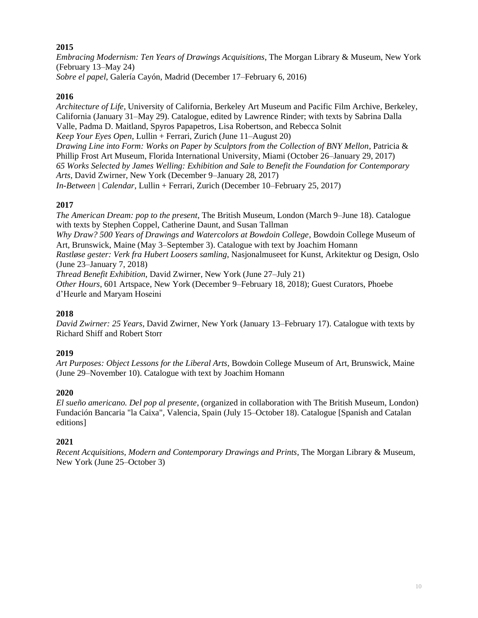*Embracing Modernism: Ten Years of Drawings Acquisitions*, The Morgan Library & Museum, New York (February 13–May 24) *Sobre el papel*, Galería Cayón, Madrid (December 17–February 6, 2016)

### **2016**

*Architecture of Life*, University of California, Berkeley Art Museum and Pacific Film Archive, Berkeley, California (January 31–May 29). Catalogue, edited by Lawrence Rinder; with texts by Sabrina Dalla Valle, Padma D. Maitland, Spyros Papapetros, Lisa Robertson, and Rebecca Solnit *Keep Your Eyes Open*, Lullin + Ferrari, Zurich (June 11–August 20) *Drawing Line into Form: Works on Paper by Sculptors from the Collection of BNY Mellon*, Patricia & Phillip Frost Art Museum, Florida International University, Miami (October 26–January 29, 2017) *65 Works Selected by James Welling: Exhibition and Sale to Benefit the Foundation for Contemporary Arts,* David Zwirner, New York (December 9–January 28, 2017) *In-Between | Calendar*, Lullin + Ferrari, Zurich (December 10–February 25, 2017)

### **2017**

*The American Dream: pop to the present*, The British Museum, London (March 9–June 18). Catalogue with texts by Stephen Coppel, Catherine Daunt, and Susan Tallman *Why Draw? 500 Years of Drawings and Watercolors at Bowdoin College*, Bowdoin College Museum of Art, Brunswick, Maine (May 3–September 3). Catalogue with text by Joachim Homann *Rastløse gester: Verk fra Hubert Loosers samling*, Nasjonalmuseet for Kunst, Arkitektur og Design, Oslo (June 23–January 7, 2018) *Thread Benefit Exhibition*, David Zwirner, New York (June 27–July 21) *Other Hours*, 601 Artspace, New York (December 9–February 18, 2018); Guest Curators, Phoebe

d'Heurle and Maryam Hoseini

### **2018**

*David Zwirner: 25 Years*, David Zwirner, New York (January 13–February 17). Catalogue with texts by Richard Shiff and Robert Storr

### **2019**

*Art Purposes: Object Lessons for the Liberal Arts*, Bowdoin College Museum of Art, Brunswick, Maine (June 29–November 10). Catalogue with text by Joachim Homann

#### **2020**

*El sueño americano. Del pop al presente*, (organized in collaboration with The British Museum, London) Fundación Bancaria "la Caixa", Valencia, Spain (July 15–October 18). Catalogue [Spanish and Catalan editions]

### **2021**

*Recent Acquisitions, Modern and Contemporary Drawings and Prints*, The Morgan Library & Museum, New York (June 25–October 3)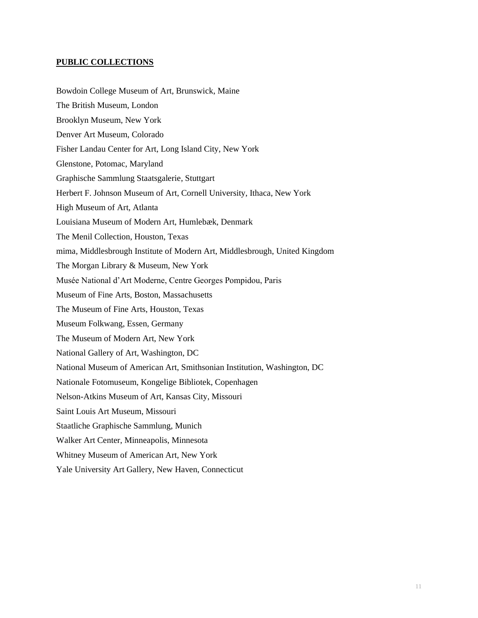#### **PUBLIC COLLECTIONS**

Bowdoin College Museum of Art, Brunswick, Maine The British Museum, London Brooklyn Museum, New York Denver Art Museum, Colorado Fisher Landau Center for Art, Long Island City, New York Glenstone, Potomac, Maryland Graphische Sammlung Staatsgalerie, Stuttgart Herbert F. Johnson Museum of Art, Cornell University, Ithaca, New York High Museum of Art, Atlanta Louisiana Museum of Modern Art, Humlebæk, Denmark The Menil Collection, Houston, Texas mima, Middlesbrough Institute of Modern Art, Middlesbrough, United Kingdom The Morgan Library & Museum, New York Musée National d'Art Moderne, Centre Georges Pompidou, Paris Museum of Fine Arts, Boston, Massachusetts The Museum of Fine Arts, Houston, Texas Museum Folkwang, Essen, Germany The Museum of Modern Art, New York National Gallery of Art, Washington, DC National Museum of American Art, Smithsonian Institution, Washington, DC Nationale Fotomuseum, Kongelige Bibliotek, Copenhagen Nelson-Atkins Museum of Art, Kansas City, Missouri Saint Louis Art Museum, Missouri Staatliche Graphische Sammlung, Munich Walker Art Center, Minneapolis, Minnesota Whitney Museum of American Art, New York Yale University Art Gallery, New Haven, Connecticut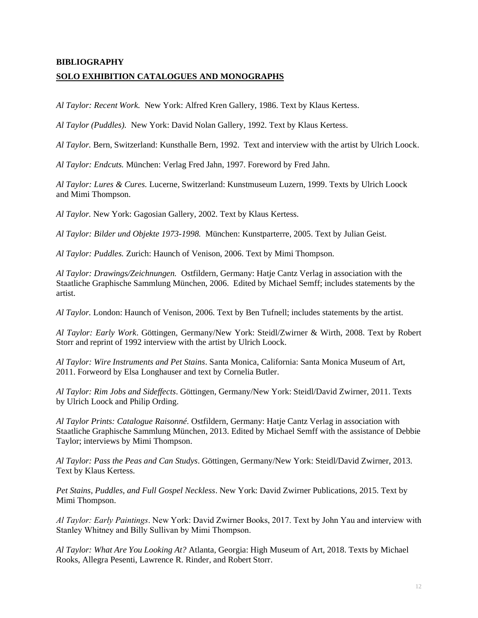# **BIBLIOGRAPHY SOLO EXHIBITION CATALOGUES AND MONOGRAPHS**

*Al Taylor: Recent Work.* New York: Alfred Kren Gallery, 1986. Text by Klaus Kertess.

*Al Taylor (Puddles).* New York: David Nolan Gallery, 1992. Text by Klaus Kertess.

*Al Taylor.* Bern, Switzerland: Kunsthalle Bern, 1992. Text and interview with the artist by Ulrich Loock.

*Al Taylor: Endcuts.* München: Verlag Fred Jahn, 1997. Foreword by Fred Jahn.

*Al Taylor: Lures & Cures.* Lucerne, Switzerland: Kunstmuseum Luzern, 1999. Texts by Ulrich Loock and Mimi Thompson.

*Al Taylor.* New York: Gagosian Gallery, 2002. Text by Klaus Kertess.

*Al Taylor: Bilder und Objekte 1973-1998.* München: Kunstparterre, 2005. Text by Julian Geist.

*Al Taylor: Puddles.* Zurich: Haunch of Venison, 2006. Text by Mimi Thompson.

*Al Taylor: Drawings/Zeichnungen.* Ostfildern, Germany: Hatje Cantz Verlag in association with the Staatliche Graphische Sammlung München, 2006. Edited by Michael Semff; includes statements by the artist.

*Al Taylor.* London: Haunch of Venison, 2006. Text by Ben Tufnell; includes statements by the artist.

*Al Taylor: Early Work*. Göttingen, Germany/New York: Steidl/Zwirner & Wirth, 2008. Text by Robert Storr and reprint of 1992 interview with the artist by Ulrich Loock.

*Al Taylor: Wire Instruments and Pet Stains*. Santa Monica, California: Santa Monica Museum of Art, 2011. Forweord by Elsa Longhauser and text by Cornelia Butler.

*Al Taylor: Rim Jobs and Sideffects*. Göttingen, Germany/New York: Steidl/David Zwirner, 2011. Texts by Ulrich Loock and Philip Ording.

*Al Taylor Prints: Catalogue Raisonné.* Ostfildern, Germany: Hatje Cantz Verlag in association with Staatliche Graphische Sammlung München, 2013. Edited by Michael Semff with the assistance of Debbie Taylor; interviews by Mimi Thompson.

*Al Taylor: Pass the Peas and Can Studys*. Göttingen, Germany/New York: Steidl/David Zwirner, 2013. Text by Klaus Kertess.

*Pet Stains, Puddles, and Full Gospel Neckless*. New York: David Zwirner Publications, 2015. Text by Mimi Thompson.

*Al Taylor: Early Paintings*. New York: David Zwirner Books, 2017. Text by John Yau and interview with Stanley Whitney and Billy Sullivan by Mimi Thompson.

*Al Taylor: What Are You Looking At?* Atlanta, Georgia: High Museum of Art, 2018. Texts by Michael Rooks, Allegra Pesenti, Lawrence R. Rinder, and Robert Storr.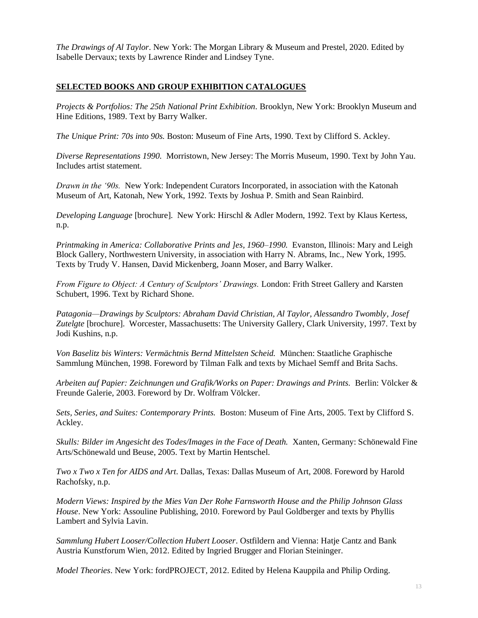*The Drawings of Al Taylor*. New York: The Morgan Library & Museum and Prestel, 2020. Edited by Isabelle Dervaux; texts by Lawrence Rinder and Lindsey Tyne.

#### **SELECTED BOOKS AND GROUP EXHIBITION CATALOGUES**

*Projects & Portfolios: The 25th National Print Exhibition.* Brooklyn, New York: Brooklyn Museum and Hine Editions, 1989. Text by Barry Walker.

*The Unique Print: 70s into 90s.* Boston: Museum of Fine Arts, 1990. Text by Clifford S. Ackley.

*Diverse Representations 1990.* Morristown, New Jersey: The Morris Museum, 1990. Text by John Yau. Includes artist statement.

*Drawn in the '90s.* New York: Independent Curators Incorporated, in association with the Katonah Museum of Art, Katonah, New York, 1992. Texts by Joshua P. Smith and Sean Rainbird.

*Developing Language* [brochure]. New York: Hirschl & Adler Modern, 1992. Text by Klaus Kertess, n.p.

*Printmaking in America: Collaborative Prints and ]es, 1960–1990.* Evanston, Illinois: Mary and Leigh Block Gallery, Northwestern University, in association with Harry N. Abrams, Inc., New York, 1995. Texts by Trudy V. Hansen, David Mickenberg, Joann Moser, and Barry Walker.

*From Figure to Object: A Century of Sculptors' Drawings.* London: Frith Street Gallery and Karsten Schubert, 1996. Text by Richard Shone.

*Patagonia—Drawings by Sculptors: Abraham David Christian, Al Taylor, Alessandro Twombly, Josef Zutelgte* [brochure]. Worcester, Massachusetts: The University Gallery, Clark University, 1997. Text by Jodi Kushins, n.p.

*Von Baselitz bis Winters: Vermächtnis Bernd Mittelsten Scheid.* München: Staatliche Graphische Sammlung München, 1998. Foreword by Tilman Falk and texts by Michael Semff and Brita Sachs.

*Arbeiten auf Papier: Zeichnungen und Grafik/Works on Paper: Drawings and Prints.* Berlin: Völcker & Freunde Galerie, 2003. Foreword by Dr. Wolfram Völcker.

*Sets, Series, and Suites: Contemporary Prints.* Boston: Museum of Fine Arts, 2005. Text by Clifford S. Ackley.

*Skulls: Bilder im Angesicht des Todes/Images in the Face of Death.* Xanten, Germany: Schönewald Fine Arts/Schönewald und Beuse, 2005. Text by Martin Hentschel.

*Two x Two x Ten for AIDS and Art*. Dallas, Texas: Dallas Museum of Art, 2008. Foreword by Harold Rachofsky, n.p.

*Modern Views: Inspired by the Mies Van Der Rohe Farnsworth House and the Philip Johnson Glass House*. New York: Assouline Publishing, 2010. Foreword by Paul Goldberger and texts by Phyllis Lambert and Sylvia Lavin.

*Sammlung Hubert Looser/Collection Hubert Looser*. Ostfildern and Vienna: Hatje Cantz and Bank Austria Kunstforum Wien, 2012. Edited by Ingried Brugger and Florian Steininger.

*Model Theories*. New York: fordPROJECT, 2012. Edited by Helena Kauppila and Philip Ording.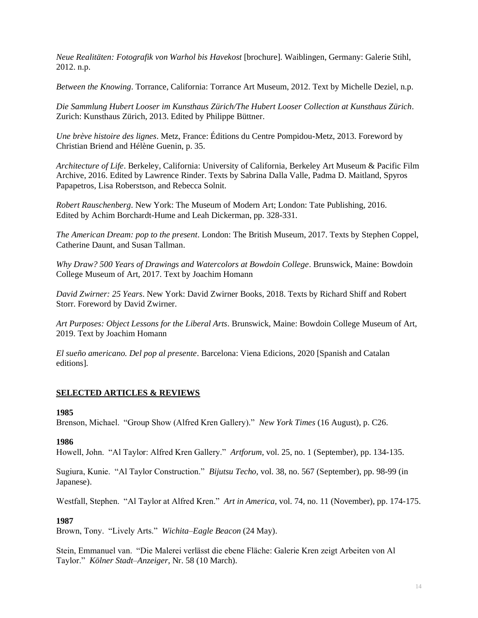*Neue Realitäten: Fotografik von Warhol bis Havekost* [brochure]. Waiblingen, Germany: Galerie Stihl, 2012. n.p.

*Between the Knowing*. Torrance, California: Torrance Art Museum, 2012. Text by Michelle Deziel, n.p.

*Die Sammlung Hubert Looser im Kunsthaus Zürich/The Hubert Looser Collection at Kunsthaus Zürich*. Zurich: Kunsthaus Zürich, 2013. Edited by Philippe Büttner.

*Une brève histoire des lignes*. Metz, France: Éditions du Centre Pompidou-Metz, 2013. Foreword by Christian Briend and Hélène Guenin, p. 35.

*Architecture of Life*. Berkeley, California: University of California, Berkeley Art Museum & Pacific Film Archive, 2016. Edited by Lawrence Rinder. Texts by Sabrina Dalla Valle, Padma D. Maitland, Spyros Papapetros, Lisa Roberstson, and Rebecca Solnit.

*Robert Rauschenberg*. New York: The Museum of Modern Art; London: Tate Publishing, 2016. Edited by Achim Borchardt-Hume and Leah Dickerman, pp. 328-331.

*The American Dream: pop to the present*. London: The British Museum, 2017. Texts by Stephen Coppel, Catherine Daunt, and Susan Tallman.

*Why Draw? 500 Years of Drawings and Watercolors at Bowdoin College*. Brunswick, Maine: Bowdoin College Museum of Art, 2017. Text by Joachim Homann

*David Zwirner: 25 Years*. New York: David Zwirner Books, 2018. Texts by Richard Shiff and Robert Storr. Foreword by David Zwirner.

*Art Purposes: Object Lessons for the Liberal Arts*. Brunswick, Maine: Bowdoin College Museum of Art, 2019. Text by Joachim Homann

*El sueño americano. Del pop al presente*. Barcelona: Viena Edicions, 2020 [Spanish and Catalan editions].

#### **SELECTED ARTICLES & REVIEWS**

#### **1985**

Brenson, Michael. "Group Show (Alfred Kren Gallery)." *New York Times* (16 August), p. C26.

#### **1986**

Howell, John. "Al Taylor: Alfred Kren Gallery." *Artforum,* vol. 25, no. 1 (September), pp. 134-135.

Sugiura, Kunie. "Al Taylor Construction." *Bijutsu Techo,* vol. 38, no. 567 (September), pp. 98-99 (in Japanese).

Westfall, Stephen. "Al Taylor at Alfred Kren." *Art in America,* vol. 74, no. 11 (November), pp. 174-175.

#### **1987**

Brown, Tony. "Lively Arts." *Wichita–Eagle Beacon* (24 May).

Stein, Emmanuel van. "Die Malerei verlässt die ebene Fläche: Galerie Kren zeigt Arbeiten von Al Taylor." *Kölner Stadt–Anzeiger,* Nr. 58 (10 March).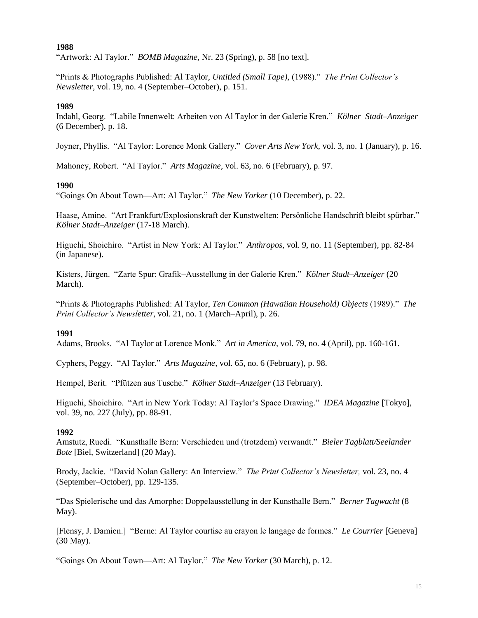"Artwork: Al Taylor." *BOMB Magazine,* Nr. 23 (Spring), p. 58 [no text].

"Prints & Photographs Published: Al Taylor, *Untitled (Small Tape),* (1988)." *The Print Collector's Newsletter,* vol. 19, no. 4 (September–October), p. 151.

#### **1989**

Indahl, Georg. "Labile Innenwelt: Arbeiten von Al Taylor in der Galerie Kren." *Kölner Stadt–Anzeiger* (6 December), p. 18.

Joyner, Phyllis. "Al Taylor: Lorence Monk Gallery." *Cover Arts New York,* vol. 3, no. 1 (January), p. 16.

Mahoney, Robert. "Al Taylor." *Arts Magazine,* vol. 63, no. 6 (February), p. 97.

#### **1990**

"Goings On About Town—Art: Al Taylor." *The New Yorker* (10 December), p. 22.

Haase, Amine. "Art Frankfurt/Explosionskraft der Kunstwelten: Persönliche Handschrift bleibt spürbar." *Kölner Stadt–Anzeiger* (17-18 March).

Higuchi, Shoichiro. "Artist in New York: Al Taylor." *Anthropos,* vol. 9, no. 11 (September), pp. 82-84 (in Japanese).

Kisters, Jürgen. "Zarte Spur: Grafik–Ausstellung in der Galerie Kren." *Kölner Stadt–Anzeiger* (20 March).

"Prints & Photographs Published: Al Taylor, *Ten Common (Hawaiian Household) Objects* (1989)." *The Print Collector's Newsletter,* vol. 21, no. 1 (March–April), p. 26.

#### **1991**

Adams, Brooks. "Al Taylor at Lorence Monk." *Art in America,* vol. 79, no. 4 (April), pp. 160-161.

Cyphers, Peggy. "Al Taylor." *Arts Magazine,* vol. 65, no. 6 (February), p. 98.

Hempel, Berit. "Pfützen aus Tusche." *Kölner Stadt–Anzeiger* (13 February).

Higuchi, Shoichiro. "Art in New York Today: Al Taylor's Space Drawing." *IDEA Magazine* [Tokyo], vol. 39, no. 227 (July), pp. 88-91.

#### **1992**

Amstutz, Ruedi. "Kunsthalle Bern: Verschieden und (trotzdem) verwandt." *Bieler Tagblatt/Seelander Bote* [Biel, Switzerland] (20 May).

Brody, Jackie. "David Nolan Gallery: An Interview." *The Print Collector's Newsletter,* vol. 23, no. 4 (September–October), pp. 129-135.

"Das Spielerische und das Amorphe: Doppelausstellung in der Kunsthalle Bern." *Berner Tagwacht* (8 May).

[Flensy, J. Damien.] "Berne: Al Taylor courtise au crayon le langage de formes." *Le Courrier* [Geneva] (30 May).

"Goings On About Town—Art: Al Taylor." *The New Yorker* (30 March), p. 12.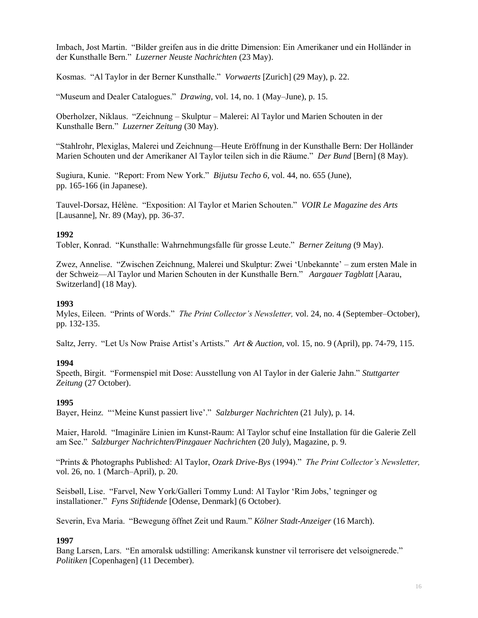Imbach, Jost Martin. "Bilder greifen aus in die dritte Dimension: Ein Amerikaner und ein Holländer in der Kunsthalle Bern." *Luzerner Neuste Nachrichten* (23 May).

Kosmas. "Al Taylor in der Berner Kunsthalle." *Vorwaerts* [Zurich] (29 May), p. 22.

"Museum and Dealer Catalogues." *Drawing,* vol. 14, no. 1 (May–June), p. 15.

Oberholzer, Niklaus. "Zeichnung – Skulptur – Malerei: Al Taylor und Marien Schouten in der Kunsthalle Bern." *Luzerner Zeitung* (30 May).

"Stahlrohr, Plexiglas, Malerei und Zeichnung—Heute Eröffnung in der Kunsthalle Bern: Der Holländer Marien Schouten und der Amerikaner Al Taylor teilen sich in die Räume." *Der Bund* [Bern] (8 May).

Sugiura, Kunie. "Report: From New York." *Bijutsu Techo 6,* vol. 44, no. 655 (June), pp. 165-166 (in Japanese).

Tauvel-Dorsaz, Hélène. "Exposition: Al Taylor et Marien Schouten." *VOIR Le Magazine des Arts*  [Lausanne], Nr. 89 (May), pp. 36-37.

#### **1992**

Tobler, Konrad. "Kunsthalle: Wahrnehmungsfalle für grosse Leute." *Berner Zeitung* (9 May).

Zwez, Annelise. "Zwischen Zeichnung, Malerei und Skulptur: Zwei 'Unbekannte' – zum ersten Male in der Schweiz—Al Taylor und Marien Schouten in der Kunsthalle Bern." *Aargauer Tagblatt* [Aarau, Switzerland] (18 May).

#### **1993**

Myles, Eileen. "Prints of Words." *The Print Collector's Newsletter,* vol. 24, no. 4 (September–October), pp. 132-135.

Saltz, Jerry. "Let Us Now Praise Artist's Artists." *Art & Auction,* vol. 15, no. 9 (April), pp. 74-79, 115.

#### **1994**

Speeth, Birgit. "Formenspiel mit Dose: Ausstellung von Al Taylor in der Galerie Jahn." *Stuttgarter Zeitung* (27 October).

#### **1995**

Bayer, Heinz. "'Meine Kunst passiert live'." *Salzburger Nachrichten* (21 July), p. 14.

Maier, Harold. "Imaginäre Linien im Kunst-Raum: Al Taylor schuf eine Installation für die Galerie Zell am See." *Salzburger Nachrichten/Pinzgauer Nachrichten* (20 July), Magazine, p. 9.

"Prints & Photographs Published: Al Taylor, *Ozark Drive-Bys* (1994)." *The Print Collector's Newsletter,* vol. 26, no. 1 (March–April), p. 20.

Seisbøll, Lise. "Farvel, New York/Galleri Tommy Lund: Al Taylor 'Rim Jobs,' tegninger og installationer." *Fyns Stiftidende* [Odense, Denmark] (6 October).

Severin, Eva Maria. "Bewegung öffnet Zeit und Raum." *Kölner Stadt-Anzeiger* (16 March).

# **1997**

Bang Larsen, Lars. "En amoralsk udstilling: Amerikansk kunstner vil terrorisere det velsoignerede." *Politiken* [Copenhagen] (11 December).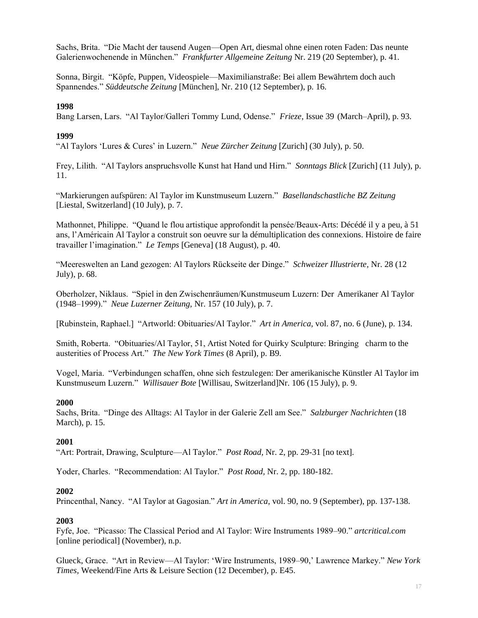Sachs, Brita. "Die Macht der tausend Augen—Open Art, diesmal ohne einen roten Faden: Das neunte Galerienwochenende in München." *Frankfurter Allgemeine Zeitung* Nr. 219 (20 September), p. 41.

Sonna, Birgit. "Köpfe, Puppen, Videospiele—Maximilianstraße: Bei allem Bewährtem doch auch Spannendes." *Süddeutsche Zeitung* [München], Nr. 210 (12 September), p. 16.

#### **1998**

Bang Larsen, Lars. "Al Taylor/Galleri Tommy Lund, Odense." *Frieze,* Issue 39 (March–April), p. 93.

#### **1999**

"Al Taylors 'Lures & Cures' in Luzern." *Neue Zürcher Zeitung* [Zurich] (30 July), p. 50.

Frey, Lilith. "Al Taylors anspruchsvolle Kunst hat Hand und Hirn." *Sonntags Blick* [Zurich] (11 July), p. 11.

"Markierungen aufspüren: Al Taylor im Kunstmuseum Luzern." *Basellandschastliche BZ Zeitung* [Liestal, Switzerland] (10 July), p. 7.

Mathonnet, Philippe. "Quand le flou artistique approfondit la pensée/Beaux-Arts: Décédé il y a peu, à 51 ans, l'Américain Al Taylor a construit son oeuvre sur la démultiplication des connexions. Histoire de faire travailler l'imagination." *Le Temps* [Geneva] (18 August), p. 40.

"Meereswelten an Land gezogen: Al Taylors Rückseite der Dinge." *Schweizer Illustrierte,* Nr. 28 (12 July), p. 68.

Oberholzer, Niklaus. "Spiel in den Zwischenräumen/Kunstmuseum Luzern: Der Amerikaner Al Taylor (1948–1999)." *Neue Luzerner Zeitung,* Nr. 157 (10 July), p. 7.

[Rubinstein, Raphael.] "Artworld: Obituaries/Al Taylor." *Art in America,* vol. 87, no. 6 (June), p. 134.

Smith, Roberta. "Obituaries/Al Taylor, 51, Artist Noted for Quirky Sculpture: Bringing charm to the austerities of Process Art." *The New York Times* (8 April), p. B9.

Vogel, Maria. "Verbindungen schaffen, ohne sich festzulegen: Der amerikanische Künstler Al Taylor im Kunstmuseum Luzern." *Willisauer Bote* [Willisau, Switzerland]Nr. 106 (15 July), p. 9.

#### **2000**

Sachs, Brita. "Dinge des Alltags: Al Taylor in der Galerie Zell am See." *Salzburger Nachrichten* (18 March), p. 15.

### **2001**

"Art: Portrait, Drawing, Sculpture—Al Taylor." *Post Road,* Nr. 2, pp. 29-31 [no text].

Yoder, Charles. "Recommendation: Al Taylor." *Post Road,* Nr. 2, pp. 180-182.

#### **2002**

Princenthal, Nancy. "Al Taylor at Gagosian." *Art in America,* vol. 90, no. 9 (September), pp. 137-138.

#### **2003**

Fyfe, Joe. "Picasso: The Classical Period and Al Taylor: Wire Instruments 1989–90." *artcritical.com* [online periodical] (November), n.p.

Glueck, Grace. "Art in Review—Al Taylor: 'Wire Instruments, 1989–90,' Lawrence Markey." *New York Times,* Weekend/Fine Arts & Leisure Section (12 December), p. E45.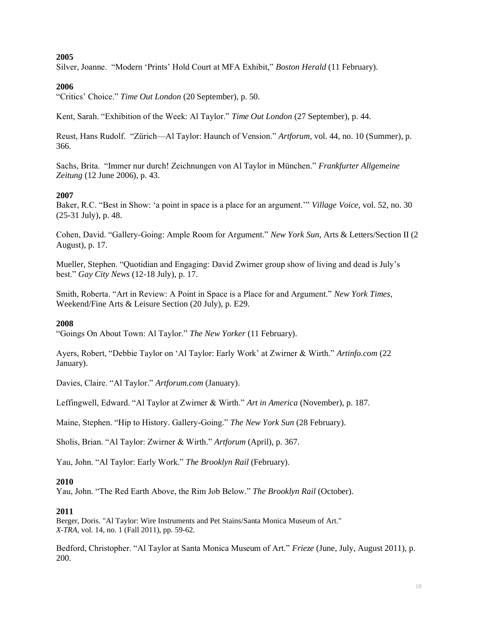Silver, Joanne. "Modern 'Prints' Hold Court at MFA Exhibit," *Boston Herald* (11 February).

#### **2006**

"Critics' Choice." *Time Out London* (20 September), p. 50.

Kent, Sarah. "Exhibition of the Week: Al Taylor." *Time Out London* (27 September), p. 44.

Reust, Hans Rudolf. "Zürich—Al Taylor: Haunch of Vension." *Artforum,* vol. 44, no. 10 (Summer), p. 366.

Sachs, Brita. "Immer nur durch! Zeichnungen von Al Taylor in München." *Frankfurter Allgemeine Zeitung* (12 June 2006), p. 43.

### **2007**

Baker, R.C. "Best in Show: 'a point in space is a place for an argument.'" *Village Voice*, vol. 52, no. 30 (25-31 July), p. 48.

Cohen, David. "Gallery-Going: Ample Room for Argument." *New York Sun*, Arts & Letters/Section II (2 August), p. 17.

Mueller, Stephen. "Quotidian and Engaging: David Zwirner group show of living and dead is July's best." *Gay City News* (12-18 July), p. 17.

Smith, Roberta. "Art in Review: A Point in Space is a Place for and Argument." *New York Times*, Weekend/Fine Arts & Leisure Section (20 July), p. E29.

#### **2008**

"Goings On About Town: Al Taylor." *The New Yorker* (11 February).

Ayers, Robert, "Debbie Taylor on 'Al Taylor: Early Work' at Zwirner & Wirth." *Artinfo.com* (22 January).

Davies, Claire. "Al Taylor." *Artforum.com* (January).

Leffingwell, Edward. "Al Taylor at Zwirner & Wirth." *Art in America* (November), p. 187.

Maine, Stephen. "Hip to History. Gallery-Going." *The New York Sun* (28 February).

Sholis, Brian. "Al Taylor: Zwirner & Wirth." *Artforum* (April), p. 367.

Yau, John. "Al Taylor: Early Work." *The Brooklyn Rail* (February).

### **2010**

Yau, John. "The Red Earth Above, the Rim Job Below." *The Brooklyn Rail* (October).

#### **2011**

Berger, Doris. "Al Taylor: Wire Instruments and Pet Stains/Santa Monica Museum of Art." *X-TRA,* vol. 14, no. 1 (Fall 2011), pp. 59-62.

Bedford, Christopher. "Al Taylor at Santa Monica Museum of Art." *Frieze* (June, July, August 2011), p. 200.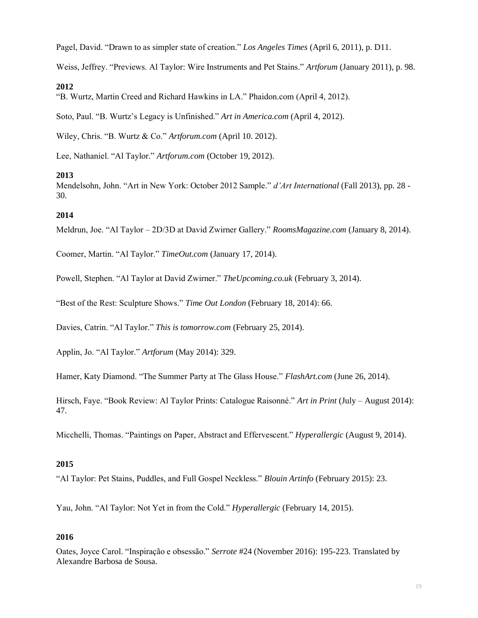Pagel, David. "Drawn to as simpler state of creation." *Los Angeles Times* (April 6, 2011), p. D11.

Weiss, Jeffrey. "Previews. Al Taylor: Wire Instruments and Pet Stains." *Artforum* (January 2011), p. 98.

#### **2012**

"B. Wurtz, Martin Creed and Richard Hawkins in LA." Phaidon.com (April 4, 2012).

Soto, Paul. "B. Wurtz's Legacy is Unfinished." *Art in America.com* (April 4, 2012).

Wiley, Chris. "B. Wurtz & Co." *Artforum.com* (April 10. 2012).

Lee, Nathaniel. "Al Taylor." *Artforum.com* (October 19, 2012).

### **2013**

Mendelsohn, John. "Art in New York: October 2012 Sample." *d'Art International* (Fall 2013), pp. 28 - 30.

### **2014**

Meldrun, Joe. "Al Taylor – 2D/3D at David Zwirner Gallery." *RoomsMagazine.com* (January 8, 2014).

Coomer, Martin. "Al Taylor." *TimeOut.com* (January 17, 2014).

Powell, Stephen. "Al Taylor at David Zwirner." *TheUpcoming.co.uk* (February 3, 2014).

"Best of the Rest: Sculpture Shows." *Time Out London* (February 18, 2014): 66.

Davies, Catrin. "Al Taylor." *This is tomorrow.com* (February 25, 2014).

Applin, Jo. "Al Taylor." *Artforum* (May 2014): 329.

Hamer, Katy Diamond. "The Summer Party at The Glass House." *FlashArt.com* (June 26, 2014).

Hirsch, Faye. "Book Review: Al Taylor Prints: Catalogue Raisonné." *Art in Print* (July – August 2014): 47.

Micchelli, Thomas. "Paintings on Paper, Abstract and Effervescent." *Hyperallergic* (August 9, 2014).

### **2015**

"Al Taylor: Pet Stains, Puddles, and Full Gospel Neckless." *Blouin Artinfo* (February 2015): 23.

Yau, John. "Al Taylor: Not Yet in from the Cold." *Hyperallergic* (February 14, 2015).

### **2016**

Oates, Joyce Carol. "Inspiração e obsessão." *Serrote* #24 (November 2016): 195-223. Translated by Alexandre Barbosa de Sousa.